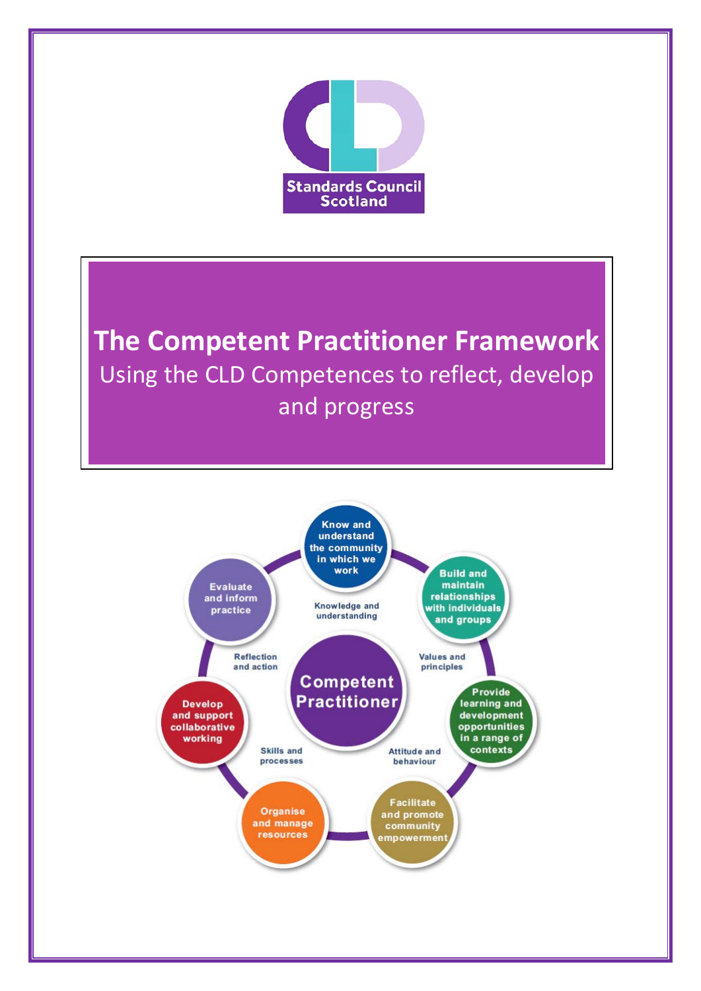

**The Competent Practitioner Framework** Using the CLD Competences to reflect, develop and progress

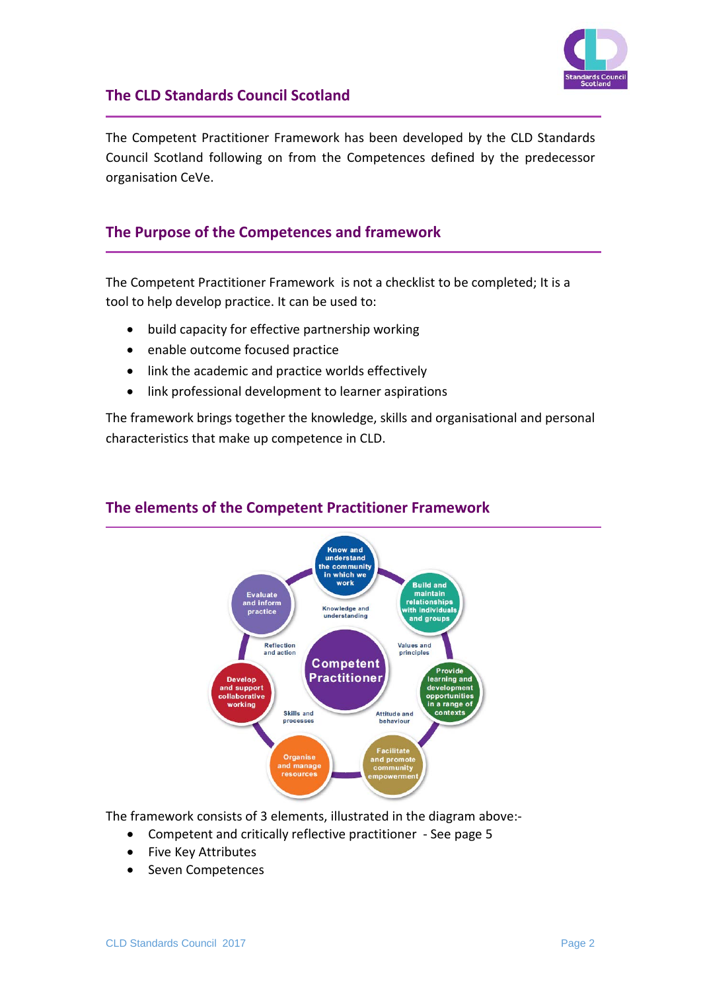

## **The CLD Standards Council Scotland**

The Competent Practitioner Framework has been developed by the CLD Standards Council Scotland following on from the Competences defined by the predecessor organisation CeVe.

## **The Purpose of the Competences and framework**

The Competent Practitioner Framework is not a checklist to be completed; It is a tool to help develop practice. It can be used to:

- build capacity for effective partnership working
- enable outcome focused practice
- link the academic and practice worlds effectively
- link professional development to learner aspirations

The framework brings together the knowledge, skills and organisational and personal characteristics that make up competence in CLD.



## **The elements of the Competent Practitioner Framework**

The framework consists of 3 elements, illustrated in the diagram above:-

- Competent and critically reflective practitioner See page 5
- Five Key Attributes
- Seven Competences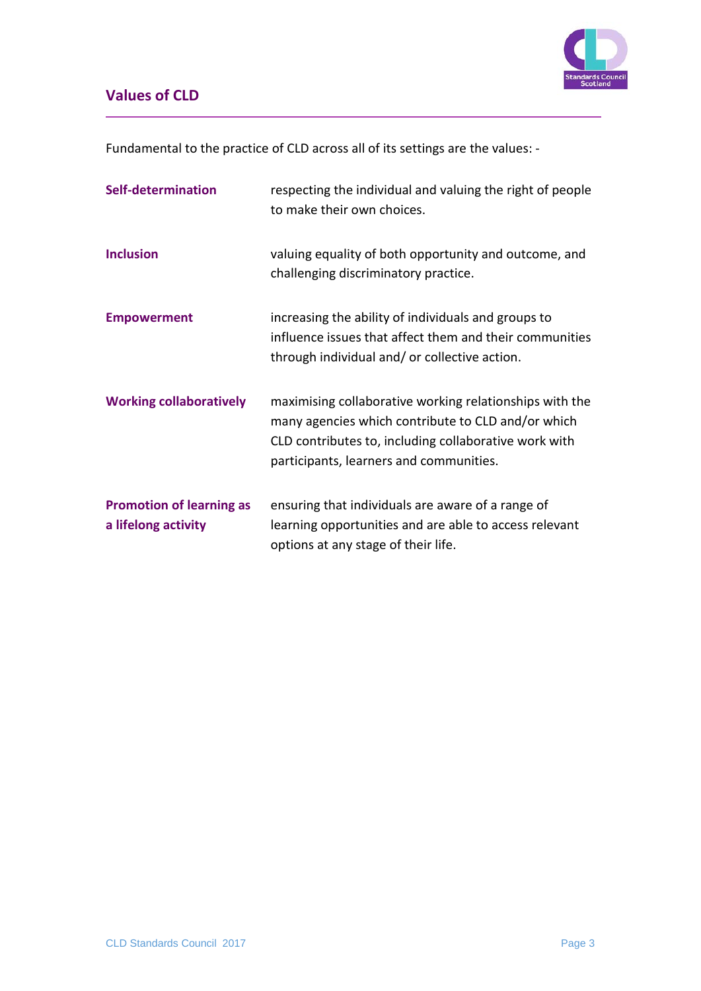

# **Values of CLD**

Fundamental to the practice of CLD across all of its settings are the values: -

| Self-determination                                     | respecting the individual and valuing the right of people<br>to make their own choices.                                                                                                                           |
|--------------------------------------------------------|-------------------------------------------------------------------------------------------------------------------------------------------------------------------------------------------------------------------|
| <b>Inclusion</b>                                       | valuing equality of both opportunity and outcome, and<br>challenging discriminatory practice.                                                                                                                     |
| <b>Empowerment</b>                                     | increasing the ability of individuals and groups to<br>influence issues that affect them and their communities<br>through individual and/or collective action.                                                    |
| <b>Working collaboratively</b>                         | maximising collaborative working relationships with the<br>many agencies which contribute to CLD and/or which<br>CLD contributes to, including collaborative work with<br>participants, learners and communities. |
| <b>Promotion of learning as</b><br>a lifelong activity | ensuring that individuals are aware of a range of<br>learning opportunities and are able to access relevant<br>options at any stage of their life.                                                                |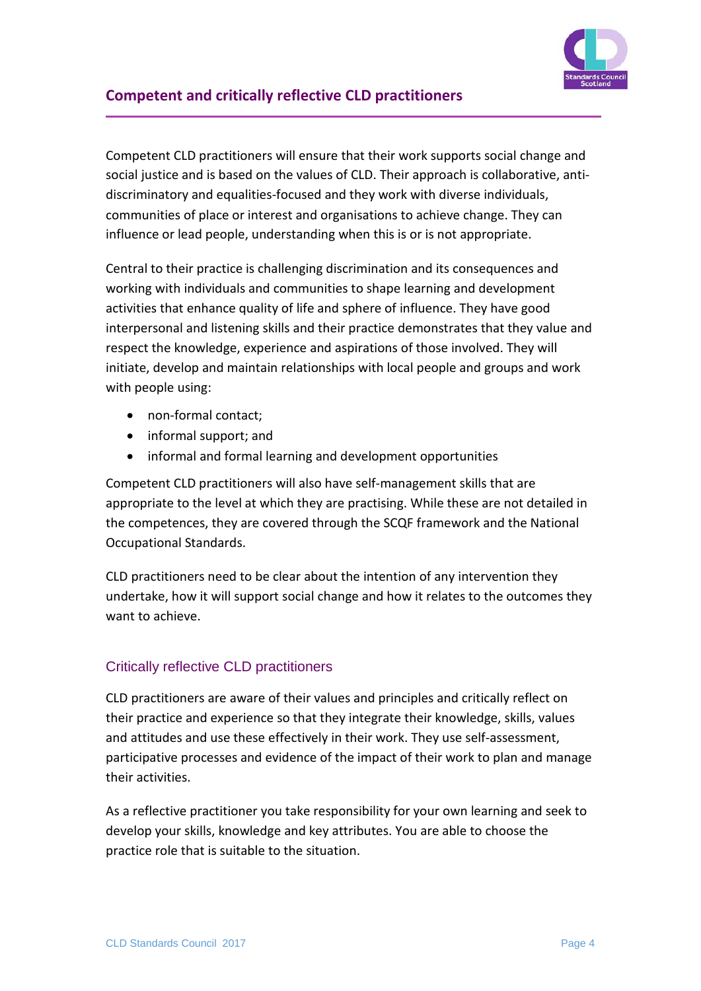

## **Competent and critically reflective CLD practitioners**

Competent CLD practitioners will ensure that their work supports social change and social justice and is based on the values of CLD. Their approach is collaborative, antidiscriminatory and equalities-focused and they work with diverse individuals, communities of place or interest and organisations to achieve change. They can influence or lead people, understanding when this is or is not appropriate.

Central to their practice is challenging discrimination and its consequences and working with individuals and communities to shape learning and development activities that enhance quality of life and sphere of influence. They have good interpersonal and listening skills and their practice demonstrates that they value and respect the knowledge, experience and aspirations of those involved. They will initiate, develop and maintain relationships with local people and groups and work with people using:

- non-formal contact;
- informal support; and
- informal and formal learning and development opportunities

Competent CLD practitioners will also have self-management skills that are appropriate to the level at which they are practising. While these are not detailed in the competences, they are covered through the SCQF framework and the National Occupational Standards.

CLD practitioners need to be clear about the intention of any intervention they undertake, how it will support social change and how it relates to the outcomes they want to achieve.

## Critically reflective CLD practitioners

CLD practitioners are aware of their values and principles and critically reflect on their practice and experience so that they integrate their knowledge, skills, values and attitudes and use these effectively in their work. They use self-assessment, participative processes and evidence of the impact of their work to plan and manage their activities.

As a reflective practitioner you take responsibility for your own learning and seek to develop your skills, knowledge and key attributes. You are able to choose the practice role that is suitable to the situation.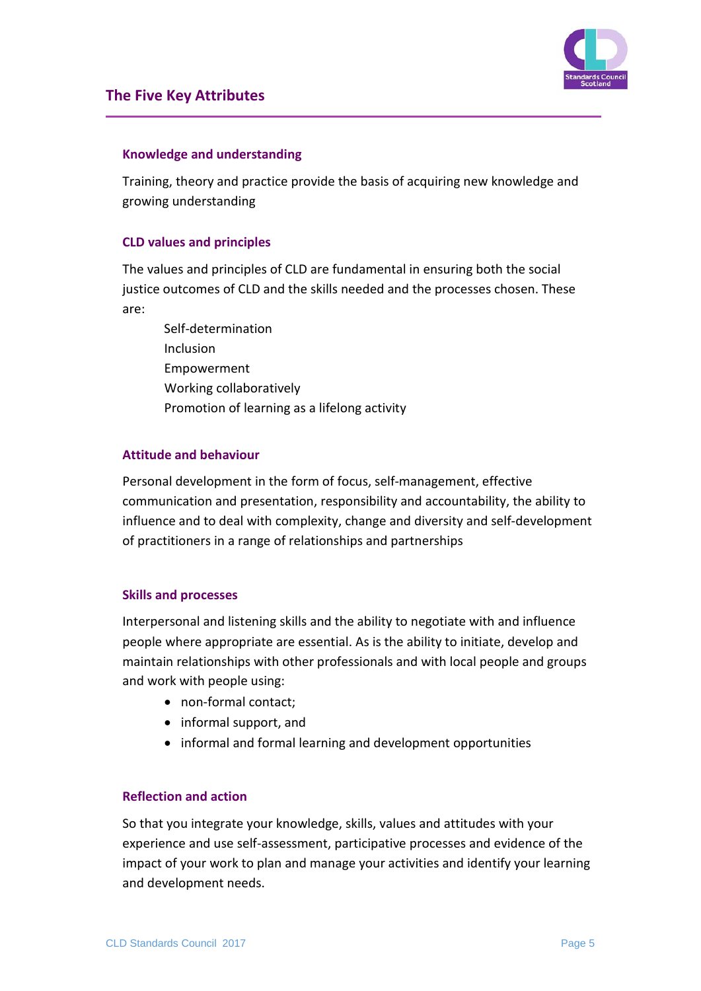

### **Knowledge and understanding**

Training, theory and practice provide the basis of acquiring new knowledge and growing understanding

#### **CLD values and principles**

The values and principles of CLD are fundamental in ensuring both the social justice outcomes of CLD and the skills needed and the processes chosen. These are:

Self-determination Inclusion Empowerment Working collaboratively Promotion of learning as a lifelong activity

#### **Attitude and behaviour**

Personal development in the form of focus, self-management, effective communication and presentation, responsibility and accountability, the ability to influence and to deal with complexity, change and diversity and self-development of practitioners in a range of relationships and partnerships

#### **Skills and processes**

Interpersonal and listening skills and the ability to negotiate with and influence people where appropriate are essential. As is the ability to initiate, develop and maintain relationships with other professionals and with local people and groups and work with people using:

- non-formal contact;
- informal support, and
- informal and formal learning and development opportunities

#### **Reflection and action**

So that you integrate your knowledge, skills, values and attitudes with your experience and use self-assessment, participative processes and evidence of the impact of your work to plan and manage your activities and identify your learning and development needs.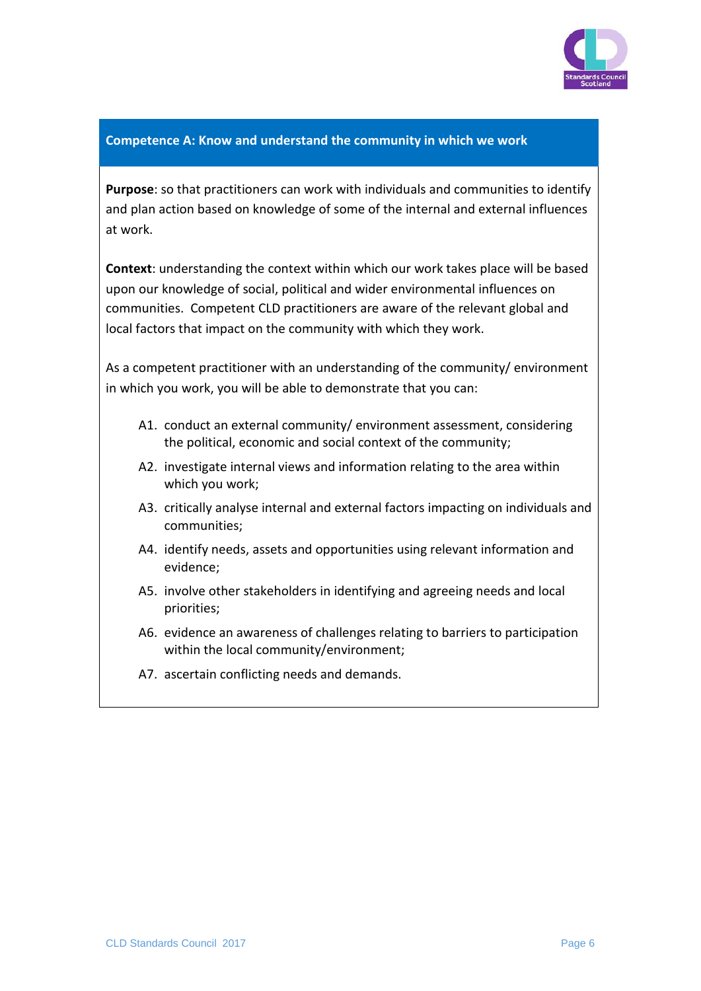

#### **Competence A: Know and understand the community in which we work**

**Purpose**: so that practitioners can work with individuals and communities to identify and plan action based on knowledge of some of the internal and external influences at work.

**Context**: understanding the context within which our work takes place will be based upon our knowledge of social, political and wider environmental influences on communities. Competent CLD practitioners are aware of the relevant global and local factors that impact on the community with which they work.

As a competent practitioner with an understanding of the community/ environment in which you work, you will be able to demonstrate that you can:

- A1. conduct an external community/ environment assessment, considering the political, economic and social context of the community;
- A2. investigate internal views and information relating to the area within which you work;
- A3. critically analyse internal and external factors impacting on individuals and communities;
- A4. identify needs, assets and opportunities using relevant information and evidence;
- A5. involve other stakeholders in identifying and agreeing needs and local priorities;
- A6. evidence an awareness of challenges relating to barriers to participation within the local community/environment;
- A7. ascertain conflicting needs and demands.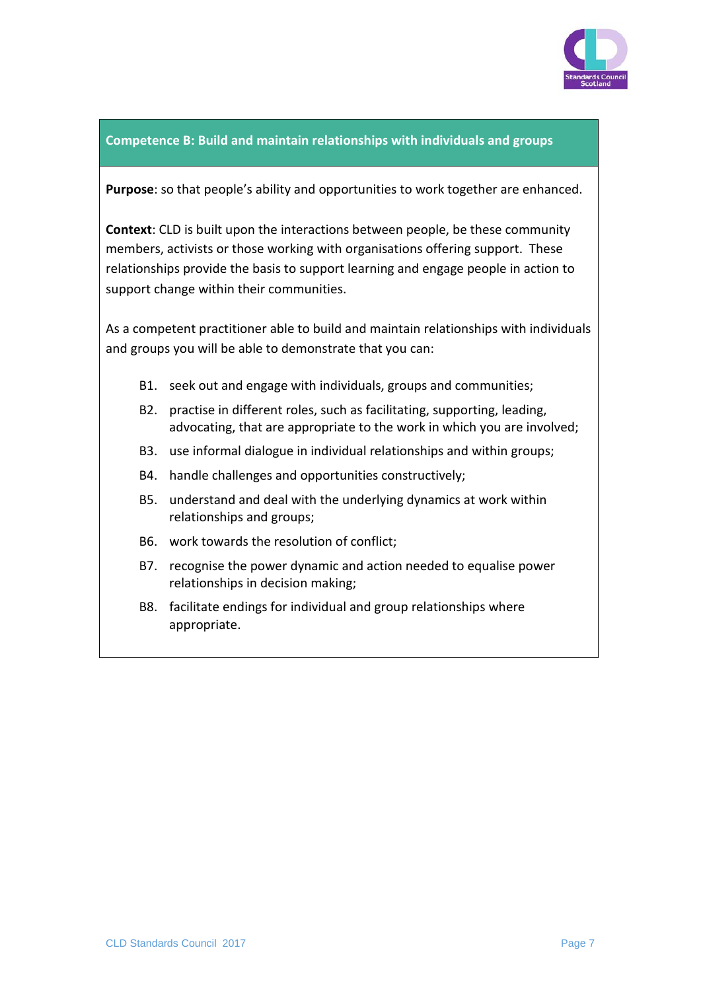

#### **Competence B: Build and maintain relationships with individuals and groups**

**Purpose**: so that people's ability and opportunities to work together are enhanced.

**Context**: CLD is built upon the interactions between people, be these community members, activists or those working with organisations offering support. These relationships provide the basis to support learning and engage people in action to support change within their communities.

As a competent practitioner able to build and maintain relationships with individuals and groups you will be able to demonstrate that you can:

- B1. seek out and engage with individuals, groups and communities;
- B2. practise in different roles, such as facilitating, supporting, leading, advocating, that are appropriate to the work in which you are involved;
- B3. use informal dialogue in individual relationships and within groups;
- B4. handle challenges and opportunities constructively;
- B5. understand and deal with the underlying dynamics at work within relationships and groups;
- B6. work towards the resolution of conflict;
- B7. recognise the power dynamic and action needed to equalise power relationships in decision making;
- B8. facilitate endings for individual and group relationships where appropriate.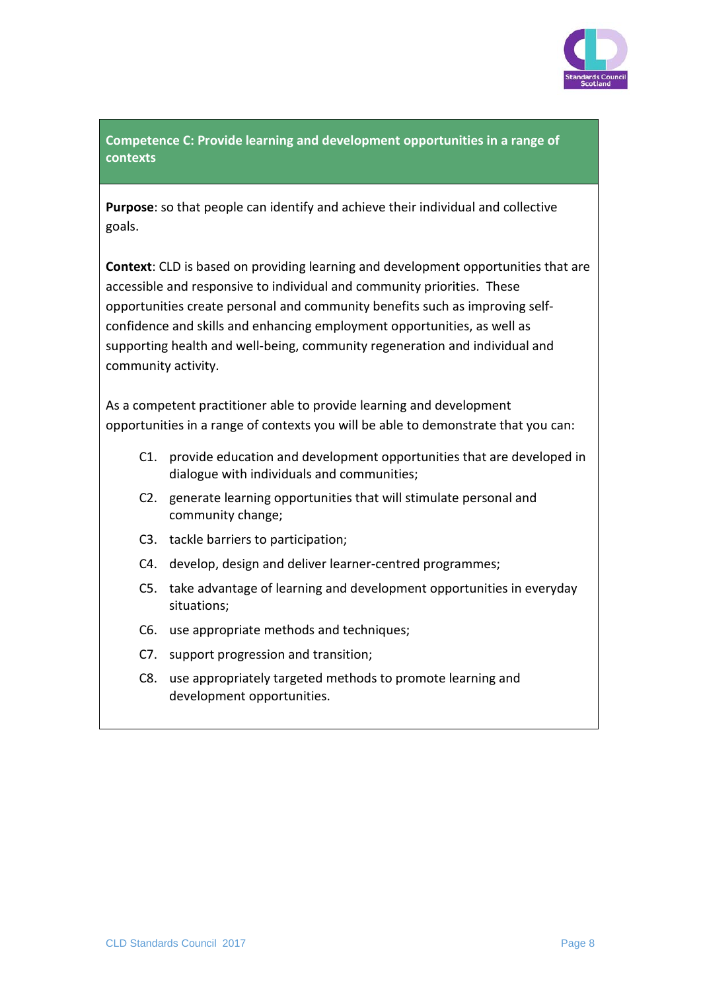

## **Competence C: Provide learning and development opportunities in a range of contexts**

**Purpose**: so that people can identify and achieve their individual and collective goals.

**Context**: CLD is based on providing learning and development opportunities that are accessible and responsive to individual and community priorities. These opportunities create personal and community benefits such as improving selfconfidence and skills and enhancing employment opportunities, as well as supporting health and well-being, community regeneration and individual and community activity.

As a competent practitioner able to provide learning and development opportunities in a range of contexts you will be able to demonstrate that you can:

- C1. provide education and development opportunities that are developed in dialogue with individuals and communities;
- C2. generate learning opportunities that will stimulate personal and community change;
- C3. tackle barriers to participation;
- C4. develop, design and deliver learner-centred programmes;
- C5. take advantage of learning and development opportunities in everyday situations;
- C6. use appropriate methods and techniques;
- C7. support progression and transition;
- C8. use appropriately targeted methods to promote learning and development opportunities.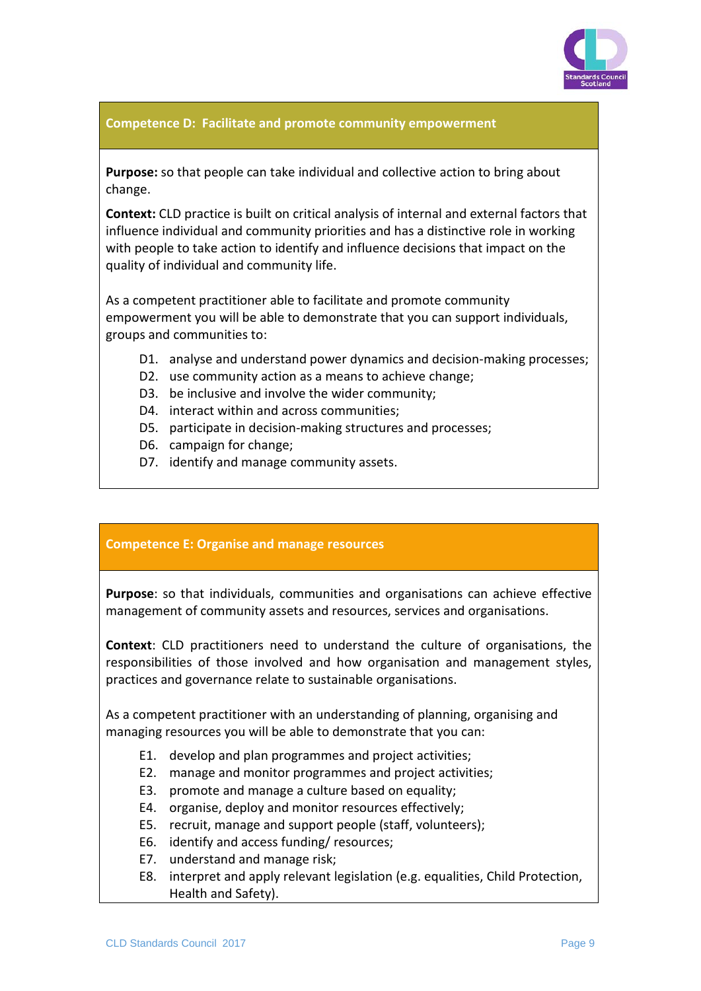

#### **Competence D: Facilitate and promote community empowerment**

**Purpose:** so that people can take individual and collective action to bring about change.

**Context:** CLD practice is built on critical analysis of internal and external factors that influence individual and community priorities and has a distinctive role in working with people to take action to identify and influence decisions that impact on the quality of individual and community life.

As a competent practitioner able to facilitate and promote community empowerment you will be able to demonstrate that you can support individuals, groups and communities to:

- D1. analyse and understand power dynamics and decision-making processes;
- D2. use community action as a means to achieve change;
- D3. be inclusive and involve the wider community;
- D4. interact within and across communities;
- D5. participate in decision-making structures and processes;
- D6. campaign for change;
- D7. identify and manage community assets.

#### **Competence E: Organise and manage resources**

**Purpose**: so that individuals, communities and organisations can achieve effective management of community assets and resources, services and organisations.

**Context**: CLD practitioners need to understand the culture of organisations, the responsibilities of those involved and how organisation and management styles, practices and governance relate to sustainable organisations.

As a competent practitioner with an understanding of planning, organising and managing resources you will be able to demonstrate that you can:

- E1. develop and plan programmes and project activities;
- E2. manage and monitor programmes and project activities;
- E3. promote and manage a culture based on equality;
- E4. organise, deploy and monitor resources effectively;
- E5. recruit, manage and support people (staff, volunteers);
- E6. identify and access funding/ resources;
- E7. understand and manage risk;
- E8. interpret and apply relevant legislation (e.g. equalities, Child Protection, Health and Safety).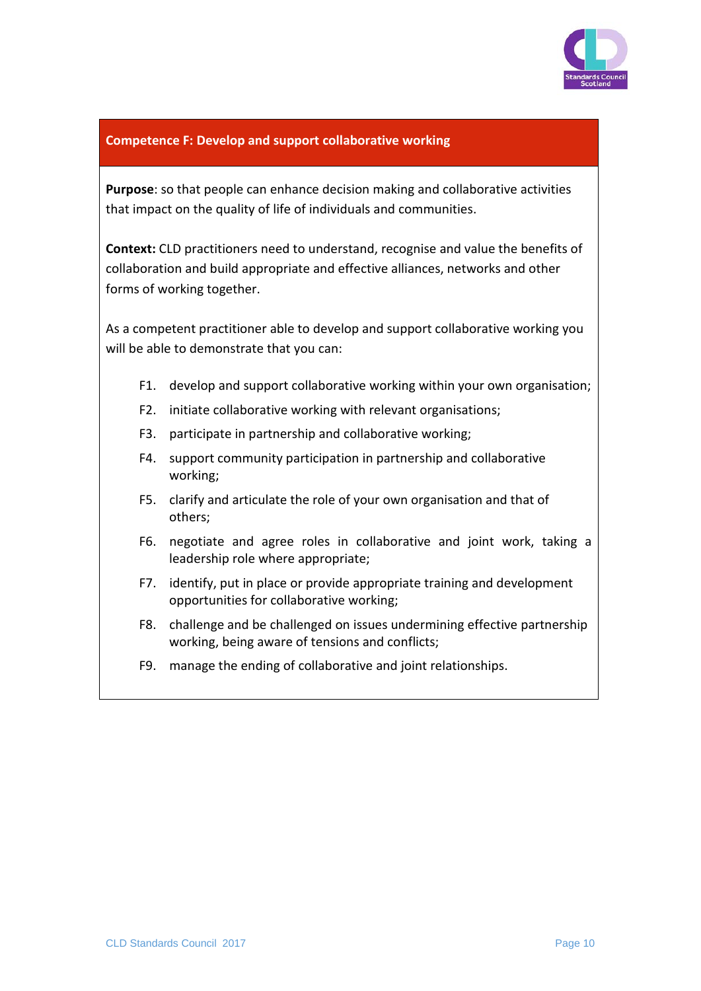

#### **Competence F: Develop and support collaborative working**

**Purpose**: so that people can enhance decision making and collaborative activities that impact on the quality of life of individuals and communities.

**Context:** CLD practitioners need to understand, recognise and value the benefits of collaboration and build appropriate and effective alliances, networks and other forms of working together.

As a competent practitioner able to develop and support collaborative working you will be able to demonstrate that you can:

- F1. develop and support collaborative working within your own organisation;
- F2. initiate collaborative working with relevant organisations;
- F3. participate in partnership and collaborative working;
- F4. support community participation in partnership and collaborative working;
- F5. clarify and articulate the role of your own organisation and that of others;
- F6. negotiate and agree roles in collaborative and joint work, taking a leadership role where appropriate;
- F7. identify, put in place or provide appropriate training and development opportunities for collaborative working;
- F8. challenge and be challenged on issues undermining effective partnership working, being aware of tensions and conflicts;
- F9. manage the ending of collaborative and joint relationships.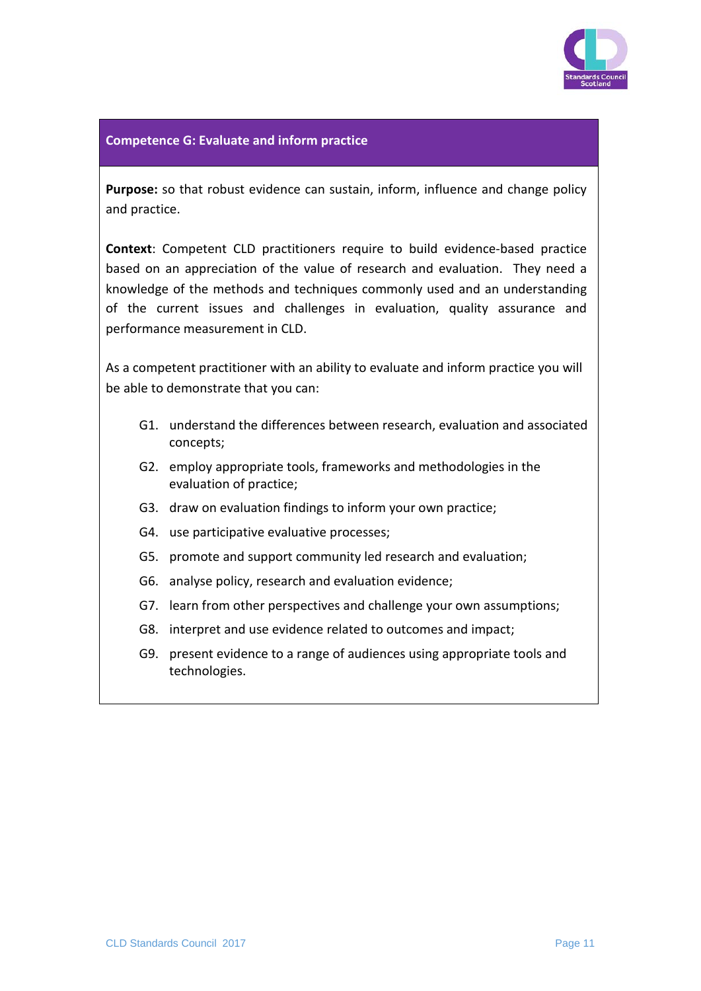

#### **Competence G: Evaluate and inform practice**

**Purpose:** so that robust evidence can sustain, inform, influence and change policy and practice.

**Context**: Competent CLD practitioners require to build evidence-based practice based on an appreciation of the value of research and evaluation. They need a knowledge of the methods and techniques commonly used and an understanding of the current issues and challenges in evaluation, quality assurance and performance measurement in CLD.

As a competent practitioner with an ability to evaluate and inform practice you will be able to demonstrate that you can:

- G1. understand the differences between research, evaluation and associated concepts;
- G2. employ appropriate tools, frameworks and methodologies in the evaluation of practice;
- G3. draw on evaluation findings to inform your own practice;
- G4. use participative evaluative processes;
- G5. promote and support community led research and evaluation;
- G6. analyse policy, research and evaluation evidence;
- G7. learn from other perspectives and challenge your own assumptions;
- G8. interpret and use evidence related to outcomes and impact;
- G9. present evidence to a range of audiences using appropriate tools and technologies.